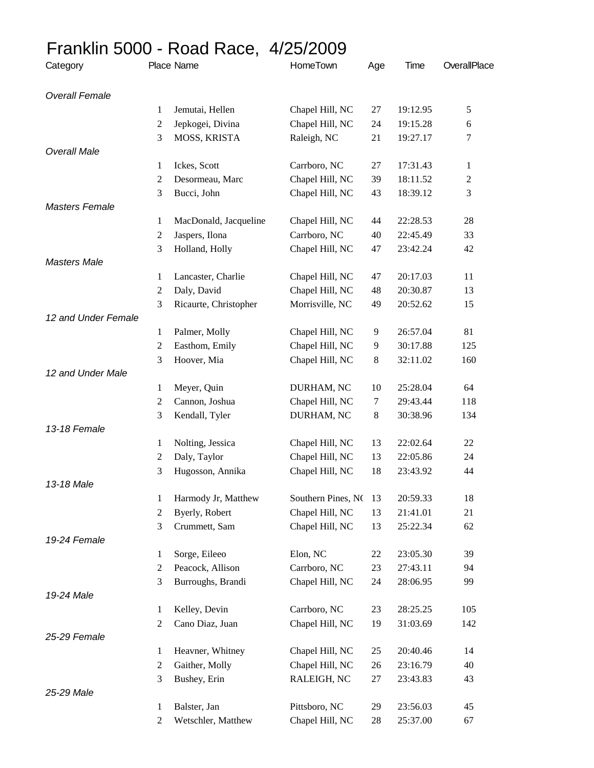## Franklin 5000 - Road Race, 4/25/2009

| Category              | Place Name     |                       | HomeTown           | Age    | Time     | OverallPlace |
|-----------------------|----------------|-----------------------|--------------------|--------|----------|--------------|
| <b>Overall Female</b> |                |                       |                    |        |          |              |
|                       | 1              | Jemutai, Hellen       | Chapel Hill, NC    | 27     | 19:12.95 | 5            |
|                       | $\mathfrak{2}$ | Jepkogei, Divina      | Chapel Hill, NC    | 24     | 19:15.28 | 6            |
|                       | 3              | MOSS, KRISTA          | Raleigh, NC        | 21     | 19:27.17 | 7            |
| <b>Overall Male</b>   |                |                       |                    |        |          |              |
|                       | 1              | Ickes, Scott          | Carrboro, NC       | 27     | 17:31.43 | 1            |
|                       | 2              | Desormeau, Marc       | Chapel Hill, NC    | 39     | 18:11.52 | 2            |
|                       | 3              | Bucci, John           | Chapel Hill, NC    | 43     | 18:39.12 | 3            |
| <b>Masters Female</b> |                |                       |                    |        |          |              |
|                       | 1              | MacDonald, Jacqueline | Chapel Hill, NC    | 44     | 22:28.53 | 28           |
|                       | 2              | Jaspers, Ilona        | Carrboro, NC       | 40     | 22:45.49 | 33           |
|                       | 3              | Holland, Holly        | Chapel Hill, NC    | 47     | 23:42.24 | 42           |
| <b>Masters Male</b>   |                |                       |                    |        |          |              |
|                       | 1              | Lancaster, Charlie    | Chapel Hill, NC    | 47     | 20:17.03 | 11           |
|                       | 2              | Daly, David           | Chapel Hill, NC    | 48     | 20:30.87 | 13           |
|                       | 3              | Ricaurte, Christopher | Morrisville, NC    | 49     | 20:52.62 | 15           |
| 12 and Under Female   |                |                       |                    |        |          |              |
|                       | 1              | Palmer, Molly         | Chapel Hill, NC    | 9      | 26:57.04 | 81           |
|                       | 2              | Easthom, Emily        | Chapel Hill, NC    | 9      | 30:17.88 | 125          |
|                       | 3              | Hoover, Mia           | Chapel Hill, NC    | 8      | 32:11.02 | 160          |
| 12 and Under Male     |                |                       |                    |        |          |              |
|                       | 1              | Meyer, Quin           | DURHAM, NC         | 10     | 25:28.04 | 64           |
|                       | 2              | Cannon, Joshua        | Chapel Hill, NC    | $\tau$ | 29:43.44 | 118          |
|                       | 3              | Kendall, Tyler        | DURHAM, NC         | 8      | 30:38.96 | 134          |
| 13-18 Female          |                |                       |                    |        |          |              |
|                       | 1              | Nolting, Jessica      | Chapel Hill, NC    | 13     | 22:02.64 | 22           |
|                       | 2              | Daly, Taylor          | Chapel Hill, NC    | 13     | 22:05.86 | 24           |
|                       | 3              | Hugosson, Annika      | Chapel Hill, NC    | 18     | 23:43.92 | 44           |
| 13-18 Male            |                |                       |                    |        |          |              |
|                       | 1              | Harmody Jr, Matthew   | Southern Pines, NO | 13     | 20:59.33 | 18           |
|                       | 2              | Byerly, Robert        | Chapel Hill, NC    | 13     | 21:41.01 | 21           |
|                       | 3              | Crummett, Sam         | Chapel Hill, NC    | 13     | 25:22.34 | 62           |
| 19-24 Female          |                |                       |                    |        |          |              |
|                       | 1              | Sorge, Eileeo         | Elon, NC           | 22     | 23:05.30 | 39           |
|                       | 2              | Peacock, Allison      | Carrboro, NC       | 23     | 27:43.11 | 94           |
|                       | 3              | Burroughs, Brandi     | Chapel Hill, NC    | 24     | 28:06.95 | 99           |
| 19-24 Male            |                |                       |                    |        |          |              |
|                       | 1              | Kelley, Devin         | Carrboro, NC       | 23     | 28:25.25 | 105          |
|                       | $\overline{c}$ | Cano Diaz, Juan       | Chapel Hill, NC    | 19     | 31:03.69 | 142          |
| 25-29 Female          |                |                       |                    |        |          |              |
|                       | 1              | Heavner, Whitney      | Chapel Hill, NC    | 25     | 20:40.46 | 14           |
|                       | 2              | Gaither, Molly        | Chapel Hill, NC    | 26     | 23:16.79 | 40           |
|                       | 3              | Bushey, Erin          | RALEIGH, NC        | 27     | 23:43.83 | 43           |
| 25-29 Male            |                |                       |                    |        |          |              |
|                       | 1              | Balster, Jan          | Pittsboro, NC      | 29     | 23:56.03 | 45           |
|                       | 2              | Wetschler, Matthew    | Chapel Hill, NC    | $28\,$ | 25:37.00 | 67           |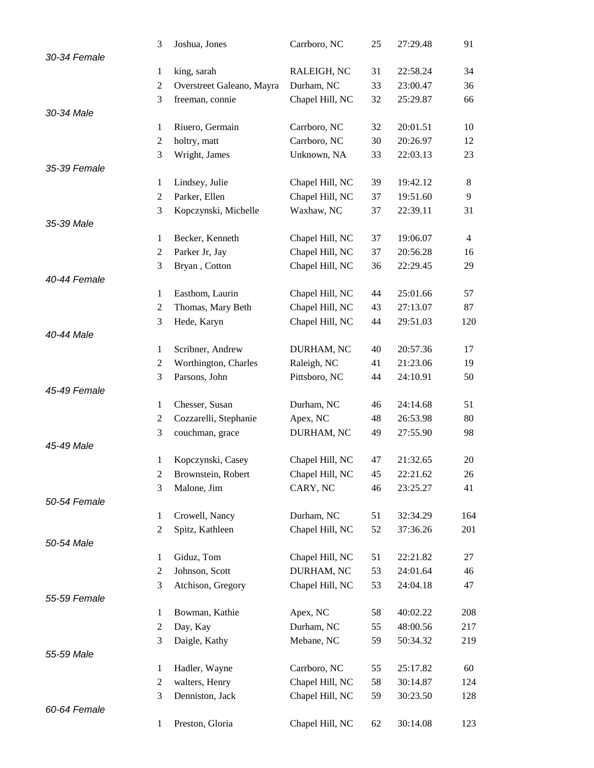|              | 3                | Joshua, Jones             | Carrboro, NC    | 25 | 27:29.48 | 91             |
|--------------|------------------|---------------------------|-----------------|----|----------|----------------|
| 30-34 Female |                  |                           |                 |    |          |                |
|              | 1                | king, sarah               | RALEIGH, NC     | 31 | 22:58.24 | 34             |
|              | $\overline{2}$   | Overstreet Galeano, Mayra | Durham, NC      | 33 | 23:00.47 | 36             |
|              | 3                | freeman, connie           | Chapel Hill, NC | 32 | 25:29.87 | 66             |
| 30-34 Male   |                  |                           |                 |    |          |                |
|              | 1                | Riuero, Germain           | Carrboro, NC    | 32 | 20:01.51 | 10             |
|              | $\mathfrak{2}$   | holtry, matt              | Carrboro, NC    | 30 | 20:26.97 | 12             |
|              | 3                | Wright, James             | Unknown, NA     | 33 | 22:03.13 | 23             |
| 35-39 Female |                  |                           |                 |    |          |                |
|              | $\mathbf{1}$     |                           |                 | 39 | 19:42.12 | 8              |
|              |                  | Lindsey, Julie            | Chapel Hill, NC |    | 19:51.60 | 9              |
|              | 2                | Parker, Ellen             | Chapel Hill, NC | 37 |          |                |
|              | 3                | Kopczynski, Michelle      | Waxhaw, NC      | 37 | 22:39.11 | 31             |
| 35-39 Male   |                  |                           |                 |    |          |                |
|              | 1                | Becker, Kenneth           | Chapel Hill, NC | 37 | 19:06.07 | $\overline{4}$ |
|              | $\overline{2}$   | Parker Jr, Jay            | Chapel Hill, NC | 37 | 20:56.28 | 16             |
|              | 3                | Bryan, Cotton             | Chapel Hill, NC | 36 | 22:29.45 | 29             |
| 40-44 Female |                  |                           |                 |    |          |                |
|              | $\mathbf{1}$     | Easthom, Laurin           | Chapel Hill, NC | 44 | 25:01.66 | 57             |
|              | 2                | Thomas, Mary Beth         | Chapel Hill, NC | 43 | 27:13.07 | 87             |
|              | 3                | Hede, Karyn               | Chapel Hill, NC | 44 | 29:51.03 | 120            |
| 40-44 Male   |                  |                           |                 |    |          |                |
|              | $\mathbf{1}$     | Scribner, Andrew          | DURHAM, NC      | 40 | 20:57.36 | 17             |
|              | $\overline{2}$   | Worthington, Charles      | Raleigh, NC     | 41 | 21:23.06 | 19             |
|              | 3                | Parsons, John             | Pittsboro, NC   | 44 | 24:10.91 | 50             |
| 45-49 Female |                  |                           |                 |    |          |                |
|              | $\mathbf{1}$     | Chesser, Susan            | Durham, NC      | 46 | 24:14.68 | 51             |
|              | 2                | Cozzarelli, Stephanie     | Apex, NC        | 48 | 26:53.98 | 80             |
|              | 3                | couchman, grace           | DURHAM, NC      | 49 | 27:55.90 | 98             |
| 45-49 Male   |                  |                           |                 |    |          |                |
|              | 1                | Kopczynski, Casey         | Chapel Hill, NC | 47 | 21:32.65 | 20             |
|              | 2                | Brownstein, Robert        | Chapel Hill, NC | 45 | 22:21.62 | 26             |
|              | 3                | Malone, Jim               | CARY, NC        | 46 | 23:25.27 | 41             |
| 50-54 Female |                  |                           |                 |    |          |                |
|              | $\mathbf{1}$     | Crowell, Nancy            | Durham, NC      | 51 | 32:34.29 | 164            |
|              | $\boldsymbol{2}$ | Spitz, Kathleen           | Chapel Hill, NC | 52 | 37:36.26 | 201            |
| 50-54 Male   |                  |                           |                 |    |          |                |
|              | $\mathbf{1}$     | Giduz, Tom                | Chapel Hill, NC | 51 | 22:21.82 | 27             |
|              | $\overline{c}$   | Johnson, Scott            | DURHAM, NC      | 53 | 24:01.64 | 46             |
|              | 3                | Atchison, Gregory         | Chapel Hill, NC | 53 | 24:04.18 | 47             |
| 55-59 Female |                  |                           |                 |    |          |                |
|              | 1                | Bowman, Kathie            | Apex, NC        | 58 | 40:02.22 | 208            |
|              | $\overline{c}$   | Day, Kay                  | Durham, NC      | 55 | 48:00.56 | 217            |
|              | 3                | Daigle, Kathy             | Mebane, NC      | 59 | 50:34.32 | 219            |
| 55-59 Male   |                  |                           |                 |    |          |                |
|              | 1                | Hadler, Wayne             | Carrboro, NC    | 55 | 25:17.82 | 60             |
|              | $\boldsymbol{2}$ |                           | Chapel Hill, NC | 58 | 30:14.87 |                |
|              | 3                | walters, Henry            |                 |    |          | 124            |
|              |                  | Denniston, Jack           | Chapel Hill, NC | 59 | 30:23.50 | 128            |
| 60-64 Female |                  |                           |                 |    |          |                |
|              | $\mathbf{1}$     | Preston, Gloria           | Chapel Hill, NC | 62 | 30:14.08 | 123            |